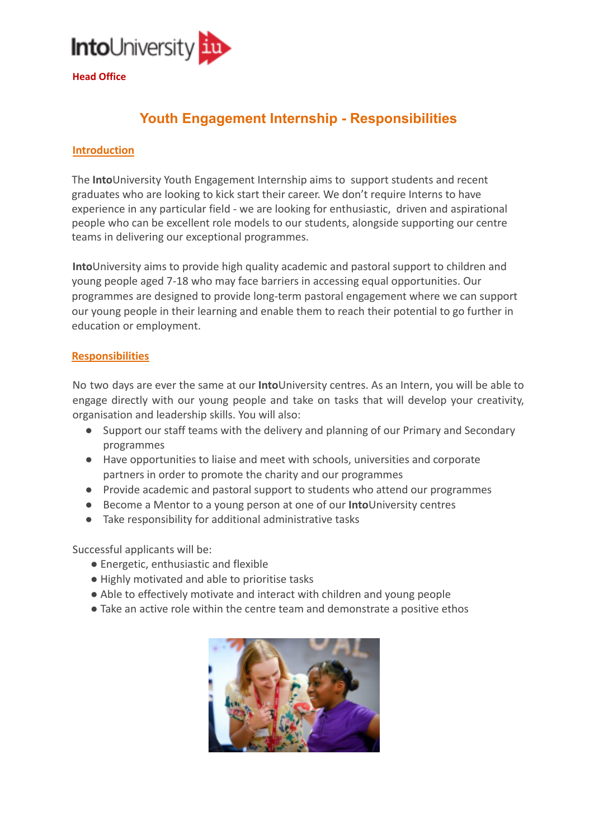

## **Youth Engagement Internship - Responsibilities**

## **Introduction**

The **Into**University Youth Engagement Internship aims to support students and recent graduates who are looking to kick start their career. We don't require Interns to have experience in any particular field - we are looking for enthusiastic, driven and aspirational people who can be excellent role models to our students, alongside supporting our centre teams in delivering our exceptional programmes.

**Into**University aims to provide high quality academic and pastoral support to children and young people aged 7-18 who may face barriers in accessing equal opportunities. Our programmes are designed to provide long-term pastoral engagement where we can support our young people in their learning and enable them to reach their potential to go further in education or employment.

## **Responsibilities**

No two days are ever the same at our **Into**University centres. As an Intern, you will be able to engage directly with our young people and take on tasks that will develop your creativity, organisation and leadership skills. You will also:

- Support our staff teams with the delivery and planning of our Primary and Secondary programmes
- Have opportunities to liaise and meet with schools, universities and corporate partners in order to promote the charity and our programmes
- Provide academic and pastoral support to students who attend our programmes
- Become a Mentor to a young person at one of our **Into**University centres
- Take responsibility for additional administrative tasks

Successful applicants will be:

- Energetic, enthusiastic and flexible
- Highly motivated and able to prioritise tasks
- Able to effectively motivate and interact with children and young people
- Take an active role within the centre team and demonstrate a positive ethos